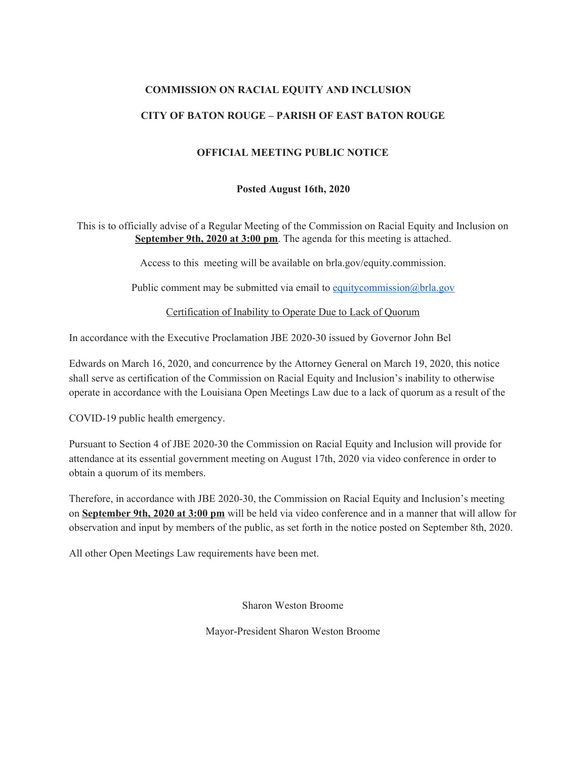## **COMMISSION ON RACIAL EQUITY AND INCLUSION**

### **CITY OF BATON ROUGE – PARISH OF EAST BATON ROUGE**

### **OFFICIAL MEETING PUBLIC NOTICE**

#### **Posted August 16th, 2020**

This is to officially advise of a Regular Meeting of the Commission on Racial Equity and Inclusion on **September 9th, 2020 at 3:00 pm**. The agenda for this meeting is attached.

Access to this meeting will be available on brla.gov/equity.commission.

Public comment may be submitted via email to [equitycommission@brla.gov](mailto:equitycommission@brla.gov)

Certification of Inability to Operate Due to Lack of Quorum

In accordance with the Executive Proclamation JBE 2020-30 issued by Governor John Bel

Edwards on March 16, 2020, and concurrence by the Attorney General on March 19, 2020, this notice shall serve as certification of the Commission on Racial Equity and Inclusion's inability to otherwise operate in accordance with the Louisiana Open Meetings Law due to a lack of quorum as a result of the

COVID-19 public health emergency.

Pursuant to Section 4 of JBE 2020-30 the Commission on Racial Equity and Inclusion will provide for attendance at its essential government meeting on August 17th, 2020 via video conference in order to obtain a quorum of its members.

Therefore, in accordance with JBE 2020-30, the Commission on Racial Equity and Inclusion's meeting on **September 9th, 2020 at 3:00 pm** will be held via video conference and in a manner that will allow for observation and input by members of the public, as set forth in the notice posted on September 8th, 2020.

All other Open Meetings Law requirements have been met.

Sharon Weston Broome

Mayor-President Sharon Weston Broome